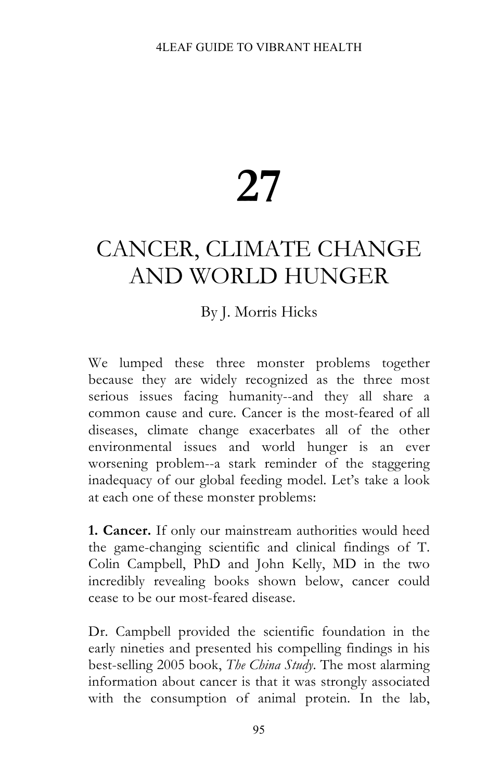## **27**

## CANCER, CLIMATE CHANGE AND WORLD HUNGER

## By J. Morris Hicks

We lumped these three monster problems together because they are widely recognized as the three most serious issues facing humanity--and they all share a common cause and cure. Cancer is the most-feared of all diseases, climate change exacerbates all of the other environmental issues and world hunger is an ever worsening problem--a stark reminder of the staggering inadequacy of our global feeding model. Let's take a look at each one of these monster problems:

**1. Cancer.** If only our mainstream authorities would heed the game-changing scientific and clinical findings of T. Colin Campbell, PhD and John Kelly, MD in the two incredibly revealing books shown below, cancer could cease to be our most-feared disease.

Dr. Campbell provided the scientific foundation in the early nineties and presented his compelling findings in his best-selling 2005 book, *The China Study*. The most alarming information about cancer is that it was strongly associated with the consumption of animal protein. In the lab,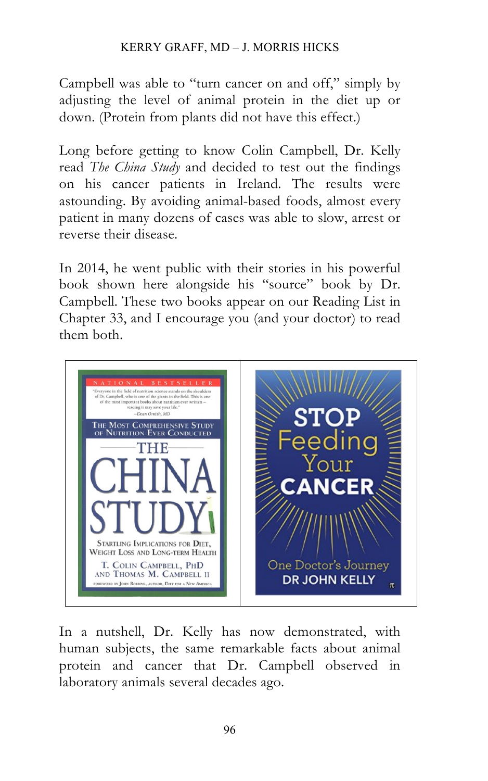## KERRY GRAFF, MD – J. MORRIS HICKS

Campbell was able to "turn cancer on and off," simply by adjusting the level of animal protein in the diet up or down. (Protein from plants did not have this effect.)

Long before getting to know Colin Campbell, Dr. Kelly read *The China Study* and decided to test out the findings on his cancer patients in Ireland. The results were astounding. By avoiding animal-based foods, almost every patient in many dozens of cases was able to slow, arrest or reverse their disease.

In 2014, he went public with their stories in his powerful book shown here alongside his "source" book by Dr. Campbell. These two books appear on our Reading List in Chapter 33, and I encourage you (and your doctor) to read them both.



In a nutshell, Dr. Kelly has now demonstrated, with human subjects, the same remarkable facts about animal protein and cancer that Dr. Campbell observed in laboratory animals several decades ago.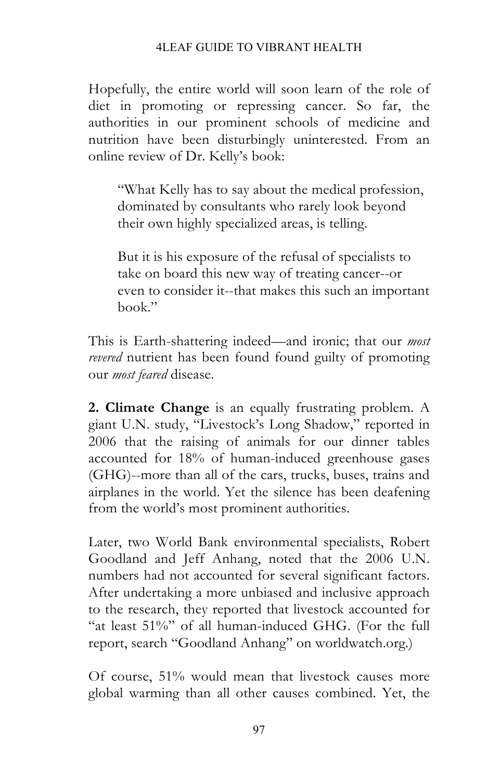Hopefully, the entire world will soon learn of the role of diet in promoting or repressing cancer. So far, the authorities in our prominent schools of medicine and nutrition have been disturbingly uninterested. From an online review of Dr. Kelly's book:

"What Kelly has to say about the medical profession, dominated by consultants who rarely look beyond their own highly specialized areas, is telling.

But it is his exposure of the refusal of specialists to take on board this new way of treating cancer--or even to consider it--that makes this such an important book."

This is Earth-shattering indeed—and ironic; that our *most revered* nutrient has been found found guilty of promoting our *most feared* disease.

**2. Climate Change** is an equally frustrating problem. A giant U.N. study, "Livestock's Long Shadow," reported in 2006 that the raising of animals for our dinner tables accounted for 18% of human-induced greenhouse gases (GHG)--more than all of the cars, trucks, buses, trains and airplanes in the world. Yet the silence has been deafening from the world's most prominent authorities.

Later, two World Bank environmental specialists, Robert Goodland and Jeff Anhang, noted that the 2006 U.N. numbers had not accounted for several significant factors. After undertaking a more unbiased and inclusive approach to the research, they reported that livestock accounted for "at least 51%" of all human-induced GHG. (For the full report, search "Goodland Anhang" on worldwatch.org.)

Of course, 51% would mean that livestock causes more global warming than all other causes combined. Yet, the